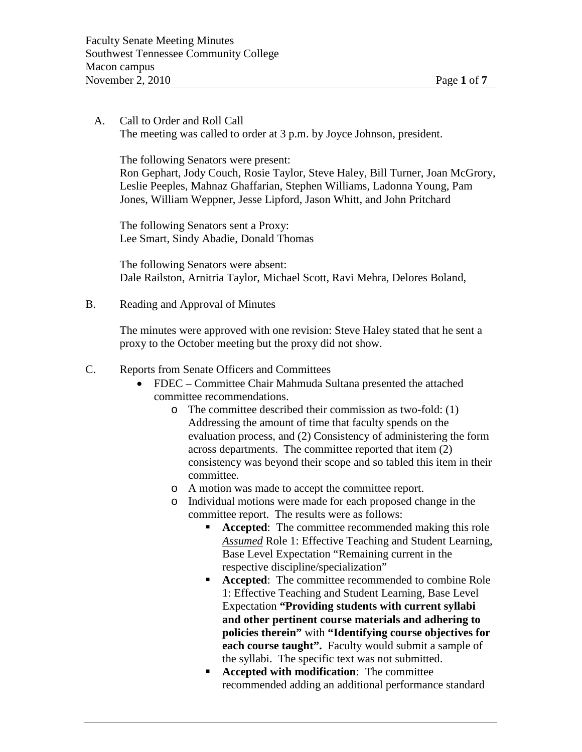A. Call to Order and Roll Call The meeting was called to order at 3 p.m. by Joyce Johnson, president.

The following Senators were present: Ron Gephart, Jody Couch, Rosie Taylor, Steve Haley, Bill Turner, Joan McGrory, Leslie Peeples, Mahnaz Ghaffarian, Stephen Williams, Ladonna Young, Pam Jones, William Weppner, Jesse Lipford, Jason Whitt, and John Pritchard

The following Senators sent a Proxy: Lee Smart, Sindy Abadie, Donald Thomas

The following Senators were absent: Dale Railston, Arnitria Taylor, Michael Scott, Ravi Mehra, Delores Boland,

B. Reading and Approval of Minutes

The minutes were approved with one revision: Steve Haley stated that he sent a proxy to the October meeting but the proxy did not show.

- C. Reports from Senate Officers and Committees
	- FDEC Committee Chair Mahmuda Sultana presented the attached committee recommendations.
		- o The committee described their commission as two-fold: (1) Addressing the amount of time that faculty spends on the evaluation process, and (2) Consistency of administering the form across departments. The committee reported that item (2) consistency was beyond their scope and so tabled this item in their committee.
		- o A motion was made to accept the committee report.
		- o Individual motions were made for each proposed change in the committee report. The results were as follows:
			- **Accepted:** The committee recommended making this role *Assumed* Role 1: Effective Teaching and Student Learning, Base Level Expectation "Remaining current in the respective discipline/specialization"
			- **Accepted:** The committee recommended to combine Role 1: Effective Teaching and Student Learning, Base Level Expectation **"Providing students with current syllabi and other pertinent course materials and adhering to policies therein"** with **"Identifying course objectives for each course taught".** Faculty would submit a sample of the syllabi. The specific text was not submitted.
			- **Accepted with modification**: The committee recommended adding an additional performance standard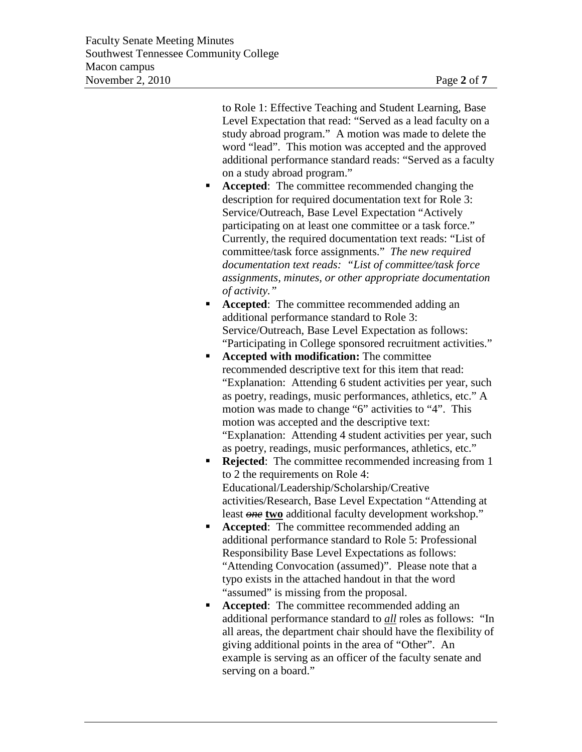to Role 1: Effective Teaching and Student Learning, Base Level Expectation that read: "Served as a lead faculty on a study abroad program." A motion was made to delete the word "lead". This motion was accepted and the approved additional performance standard reads: "Served as a faculty on a study abroad program."

- **Accepted:** The committee recommended changing the description for required documentation text for Role 3: Service/Outreach, Base Level Expectation "Actively participating on at least one committee or a task force." Currently, the required documentation text reads: "List of committee/task force assignments." *The new required documentation text reads: "List of committee/task force assignments, minutes, or other appropriate documentation of activity."*
- **Accepted**: The committee recommended adding an additional performance standard to Role 3: Service/Outreach, Base Level Expectation as follows: "Participating in College sponsored recruitment activities."
- **Accepted with modification:** The committee recommended descriptive text for this item that read: "Explanation: Attending 6 student activities per year, such as poetry, readings, music performances, athletics, etc." A motion was made to change "6" activities to "4". This motion was accepted and the descriptive text: "Explanation: Attending 4 student activities per year, such as poetry, readings, music performances, athletics, etc."
- **Rejected:** The committee recommended increasing from 1 to 2 the requirements on Role 4: Educational/Leadership/Scholarship/Creative activities/Research, Base Level Expectation "Attending at least *one* **two** additional faculty development workshop."
- **Accepted:** The committee recommended adding an additional performance standard to Role 5: Professional Responsibility Base Level Expectations as follows: "Attending Convocation (assumed)". Please note that a typo exists in the attached handout in that the word "assumed" is missing from the proposal.
- **Accepted:** The committee recommended adding an additional performance standard to *all* roles as follows: "In all areas, the department chair should have the flexibility of giving additional points in the area of "Other". An example is serving as an officer of the faculty senate and serving on a board."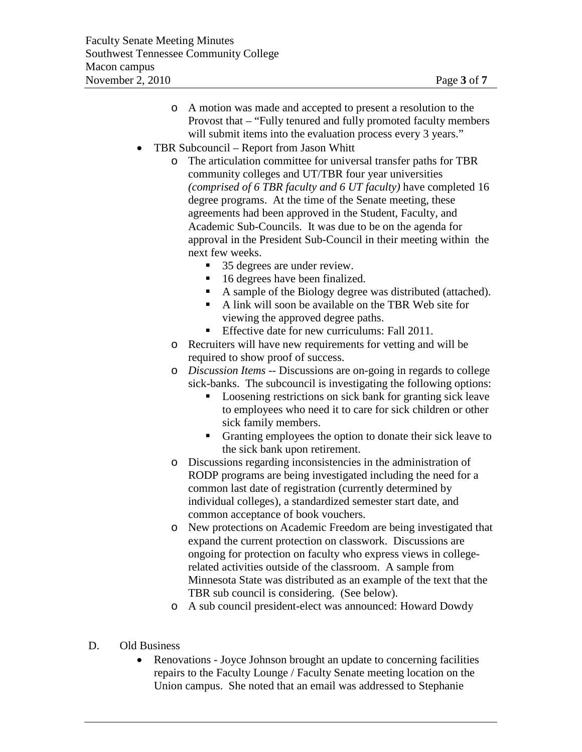- o A motion was made and accepted to present a resolution to the Provost that – "Fully tenured and fully promoted faculty members will submit items into the evaluation process every 3 years."
- TBR Subcouncil Report from Jason Whitt
	- o The articulation committee for universal transfer paths for TBR community colleges and UT/TBR four year universities *(comprised of 6 TBR faculty and 6 UT faculty)* have completed 16 degree programs. At the time of the Senate meeting, these agreements had been approved in the Student, Faculty, and Academic Sub-Councils. It was due to be on the agenda for approval in the President Sub-Council in their meeting within the next few weeks.
		- 35 degrees are under review.
		- 16 degrees have been finalized.
		- A sample of the Biology degree was distributed (attached).
		- A link will soon be available on the TBR Web site for viewing the approved degree paths.
		- **Effective date for new curriculums: Fall 2011.**
	- o Recruiters will have new requirements for vetting and will be required to show proof of success.
	- o *Discussion Items* -- Discussions are on-going in regards to college sick-banks. The subcouncil is investigating the following options:
		- **Loosening restrictions on sick bank for granting sick leave** to employees who need it to care for sick children or other sick family members.
		- Granting employees the option to donate their sick leave to the sick bank upon retirement.
	- o Discussions regarding inconsistencies in the administration of RODP programs are being investigated including the need for a common last date of registration (currently determined by individual colleges), a standardized semester start date, and common acceptance of book vouchers.
	- o New protections on Academic Freedom are being investigated that expand the current protection on classwork. Discussions are ongoing for protection on faculty who express views in collegerelated activities outside of the classroom. A sample from Minnesota State was distributed as an example of the text that the TBR sub council is considering. (See below).
	- o A sub council president-elect was announced: Howard Dowdy
- D. Old Business
	- Renovations Joyce Johnson brought an update to concerning facilities repairs to the Faculty Lounge / Faculty Senate meeting location on the Union campus. She noted that an email was addressed to Stephanie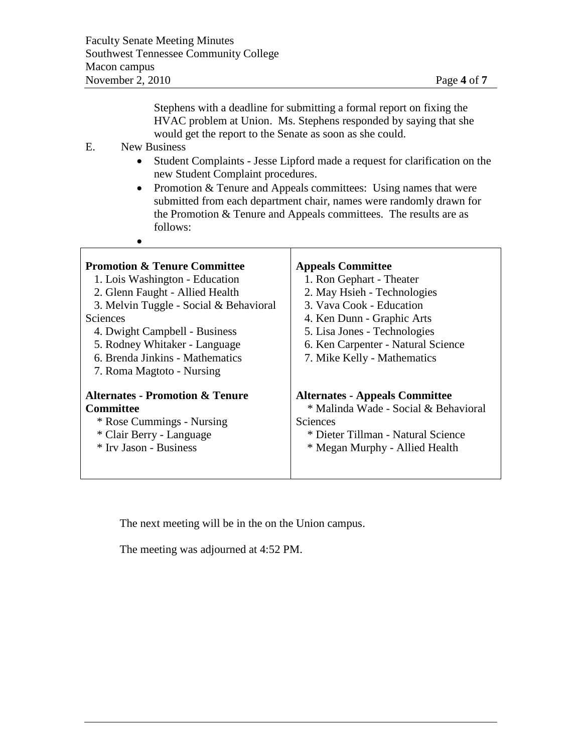Stephens with a deadline for submitting a formal report on fixing the HVAC problem at Union. Ms. Stephens responded by saying that she would get the report to the Senate as soon as she could.

### E. New Business

 $\bullet$ 

- Student Complaints Jesse Lipford made a request for clarification on the new Student Complaint procedures.
- Promotion & Tenure and Appeals committees: Using names that were submitted from each department chair, names were randomly drawn for the Promotion & Tenure and Appeals committees. The results are as follows:

| <b>Promotion &amp; Tenure Committee</b><br>1. Lois Washington - Education<br>2. Glenn Faught - Allied Health<br>3. Melvin Tuggle - Social & Behavioral<br>Sciences<br>4. Dwight Campbell - Business<br>5. Rodney Whitaker - Language<br>6. Brenda Jinkins - Mathematics<br>7. Roma Magtoto - Nursing | <b>Appeals Committee</b><br>1. Ron Gephart - Theater<br>2. May Hsieh - Technologies<br>3. Vava Cook - Education<br>4. Ken Dunn - Graphic Arts<br>5. Lisa Jones - Technologies<br>6. Ken Carpenter - Natural Science<br>7. Mike Kelly - Mathematics |
|------------------------------------------------------------------------------------------------------------------------------------------------------------------------------------------------------------------------------------------------------------------------------------------------------|----------------------------------------------------------------------------------------------------------------------------------------------------------------------------------------------------------------------------------------------------|
| <b>Alternates - Promotion &amp; Tenure</b>                                                                                                                                                                                                                                                           | <b>Alternates - Appeals Committee</b>                                                                                                                                                                                                              |
| Committee                                                                                                                                                                                                                                                                                            | * Malinda Wade - Social & Behavioral                                                                                                                                                                                                               |
| * Rose Cummings - Nursing                                                                                                                                                                                                                                                                            | Sciences                                                                                                                                                                                                                                           |
| * Clair Berry - Language                                                                                                                                                                                                                                                                             | * Dieter Tillman - Natural Science                                                                                                                                                                                                                 |
| * Irv Jason - Business                                                                                                                                                                                                                                                                               | * Megan Murphy - Allied Health                                                                                                                                                                                                                     |

The next meeting will be in the on the Union campus.

The meeting was adjourned at 4:52 PM.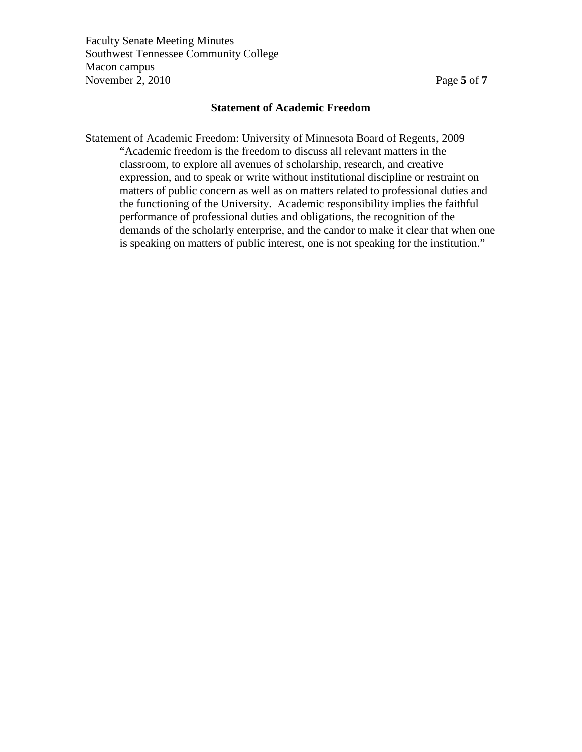### **Statement of Academic Freedom**

Statement of Academic Freedom: University of Minnesota Board of Regents, 2009 "Academic freedom is the freedom to discuss all relevant matters in the classroom, to explore all avenues of scholarship, research, and creative expression, and to speak or write without institutional discipline or restraint on matters of public concern as well as on matters related to professional duties and the functioning of the University. Academic responsibility implies the faithful performance of professional duties and obligations, the recognition of the demands of the scholarly enterprise, and the candor to make it clear that when one is speaking on matters of public interest, one is not speaking for the institution."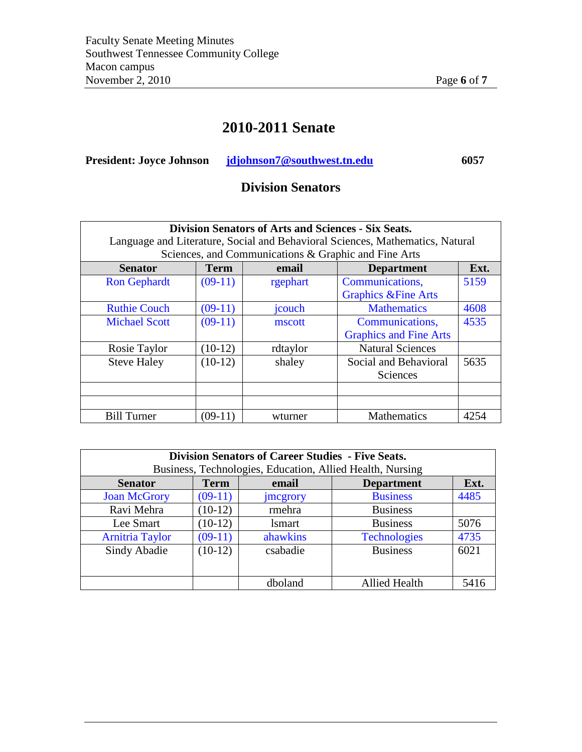# **2010-2011 Senate**

**President: Joyce Johnson [jdjohnson7@southwest.tn.edu](mailto:jdjohnson7@southwest.tn.edu) 6057** 

## **Division Senators**

| <b>Division Senators of Arts and Sciences - Six Seats.</b><br>Language and Literature, Social and Behavioral Sciences, Mathematics, Natural |             |          |                                 |      |
|---------------------------------------------------------------------------------------------------------------------------------------------|-------------|----------|---------------------------------|------|
| Sciences, and Communications & Graphic and Fine Arts                                                                                        |             |          |                                 |      |
| <b>Senator</b>                                                                                                                              | <b>Term</b> | email    | <b>Department</b>               | Ext. |
| <b>Ron Gephardt</b>                                                                                                                         | $(09-11)$   | rgephart | Communications,                 | 5159 |
|                                                                                                                                             |             |          | <b>Graphics &amp; Fine Arts</b> |      |
| <b>Ruthie Couch</b>                                                                                                                         | $(09-11)$   | jcouch   | <b>Mathematics</b>              | 4608 |
| <b>Michael Scott</b>                                                                                                                        | $(09-11)$   | mscott   | Communications,                 | 4535 |
|                                                                                                                                             |             |          | <b>Graphics and Fine Arts</b>   |      |
| Rosie Taylor                                                                                                                                | $(10-12)$   | rdtaylor | <b>Natural Sciences</b>         |      |
| <b>Steve Haley</b>                                                                                                                          | $(10-12)$   | shaley   | Social and Behavioral           | 5635 |
|                                                                                                                                             |             |          | Sciences                        |      |
|                                                                                                                                             |             |          |                                 |      |
|                                                                                                                                             |             |          |                                 |      |
| <b>Bill Turner</b>                                                                                                                          | $(09-11)$   | wturner  | <b>Mathematics</b>              | 4254 |

| <b>Division Senators of Career Studies - Five Seats.</b> |                                                           |               |                      |      |
|----------------------------------------------------------|-----------------------------------------------------------|---------------|----------------------|------|
|                                                          | Business, Technologies, Education, Allied Health, Nursing |               |                      |      |
| <b>Senator</b>                                           | <b>Term</b>                                               | email         | <b>Department</b>    | Ext. |
| <b>Joan McGrory</b>                                      | $(09-11)$                                                 | jmegrory      | <b>Business</b>      | 4485 |
| Ravi Mehra                                               | $(10-12)$                                                 | rmehra        | <b>Business</b>      |      |
| Lee Smart                                                | $(10-12)$                                                 | <i>lsmart</i> | <b>Business</b>      | 5076 |
| <b>Arnitria Taylor</b>                                   | $(09-11)$                                                 | ahawkins      | <b>Technologies</b>  | 4735 |
| Sindy Abadie                                             | $(10-12)$                                                 | csabadie      | <b>Business</b>      | 6021 |
|                                                          |                                                           |               |                      |      |
|                                                          |                                                           | dboland       | <b>Allied Health</b> | 5416 |